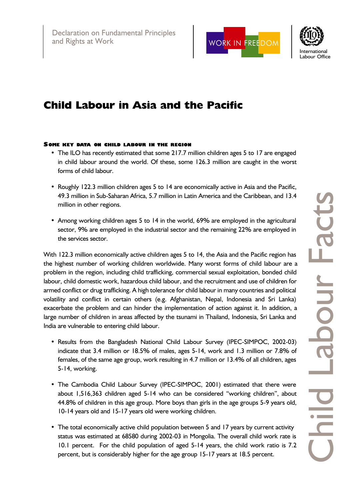



# Child Labour in Asia and the Pacific

#### SOME KEY DATA ON CHILD LABOUR IN THE REGION

- The ILO has recently estimated that some 217.7 million children ages 5 to 17 are engaged in child labour around the world. Of these, some 126.3 million are caught in the worst forms of child labour.
- Roughly 122.3 million children ages 5 to 14 are economically active in Asia and the Pacific, 49.3 million in Sub-Saharan Africa, 5.7 million in Latin America and the Caribbean, and 13.4 million in other regions.
- Among working children ages 5 to 14 in the world, 69% are employed in the agricultural sector, 9% are employed in the industrial sector and the remaining 22% are employed in the services sector.

With 122.3 million economically active children ages 5 to 14, the Asia and the Pacific region has the highest number of working children worldwide. Many worst forms of child labour are a problem in the region, including child trafficking, commercial sexual exploitation, bonded child labour, child domestic work, hazardous child labour, and the recruitment and use of children for armed conflict or drug trafficking. A high tolerance for child labour in many countries and political volatility and conflict in certain others (e.g. Afghanistan, Nepal, Indonesia and Sri Lanka) exacerbate the problem and can hinder the implementation of action against it. In addition, a large number of children in areas affected by the tsunami in Thailand, Indonesia, Sri Lanka and India are vulnerable to entering child labour.

- Results from the Bangladesh National Child Labour Survey (IPEC-SIMPOC, 2002-03) indicate that 3.4 million or 18.5% of males, ages 5-14, work and 1.3 million or 7.8% of females, of the same age group, work resulting in 4.7 million or 13.4% of all children, ages 5-14, working.
- The Cambodia Child Labour Survey (IPEC-SIMPOC, 2001) estimated that there were about 1,516,363 children aged 5-14 who can be considered "working children", about 44.8% of children in this age group. More boys than girls in the age groups 5-9 years old, 10-14 years old and 15-17 years old were working children.
- The total economically active child population between 5 and 17 years by current activity status was estimated at 68580 during 2002-03 in Mongolia. The overall child work rate is 10.1 percent. For the child population of aged 5-14 years, the child work ratio is 7.2 percent, but is considerably higher for the age group 15-17 years at 18.5 percent.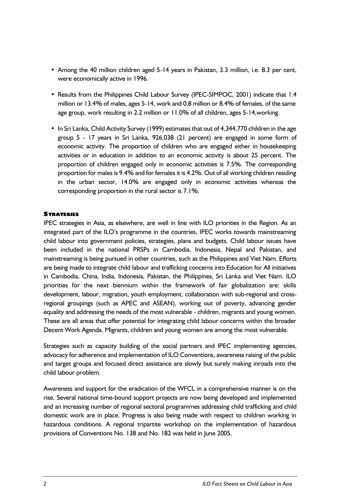- Among the 40 million children aged 5-14 years in Pakistan, 3.3 million, i.e. 8.3 per cent, were economically active in 1996.
- Results from the Philippines Child Labour Survey (IPEC-SIMPOC, 2001) indicate that 1.4 million or 13.4% of males, ages 5-14, work and 0.8 million or 8.4% of females, of the same age group, work resulting in 2.2 million or 11.0% of all children, ages 5-14,working.
- In Sri Lanka, Child Activity Survey (1999) estimates that out of 4,344,770 children in the age group 5 - 17 years in Sri Lanka, 926,038 (21 percent) are engaged in some form of economic activity. The proportion of children who are engaged either in housekeeping activities or in education in addition to an economic activity is about 25 percent. The proportion of children engaged only in economic activities is 7.5%. The corresponding proportion for males is 9.4% and for females it is 4.2%. Out of all working children residing in the urban sector, 14.0% are engaged only in economic activities whereas the corresponding proportion in the rural sector is 7.1%.

## **STRATEGIES**

IPEC strategies in Asia, as elsewhere, are well in line with ILO priorities in the Region. As an integrated part of the ILO's programme in the countries, IPEC works towards mainstreaming child labour into government policies, strategies, plans and budgets. Child labour issues have been included in the national PRSPs in Cambodia, Indonesia, Nepal and Pakistan, and mainstreaming is being pursued in other countries, such as the Philippines and Viet Nam. Efforts are being made to integrate child labour and trafficking concerns into Education for All initiatives in Cambodia, China, India, Indonesia, Pakistan, the Philippines, Sri Lanka and Viet Nam. ILO priorities for the next biennium within the framework of fair globalization are: skills development, labour, migration, youth employment, collaboration with sub-regional and crossregional groupings (such as APEC and ASEAN), working out of poverty, advancing gender equality and addressing the needs of the most vulnerable - children, migrants and young women. These are all areas that offer potential for integrating child labour concerns within the broader Decent Work Agenda. Migrants, children and young women are among the most vulnerable.

Strategies such as capacity building of the social partners and IPEC implementing agencies, advocacy for adherence and implementation of ILO Conventions, awareness raising of the public and target groups and focused direct assistance are slowly but surely making inroads into the child labour problem.

Awareness and support for the eradication of the WFCL in a comprehensive manner is on the rise. Several national time-bound support projects are now being developed and implemented and an increasing number of regional sectoral programmes addressing child trafficking and child domestic work are in place. Progress is also being made with respect to children working in hazardous conditions. A regional tripartite workshop on the implementation of hazardous provisions of Conventions No. 138 and No. 182 was held in June 2005.